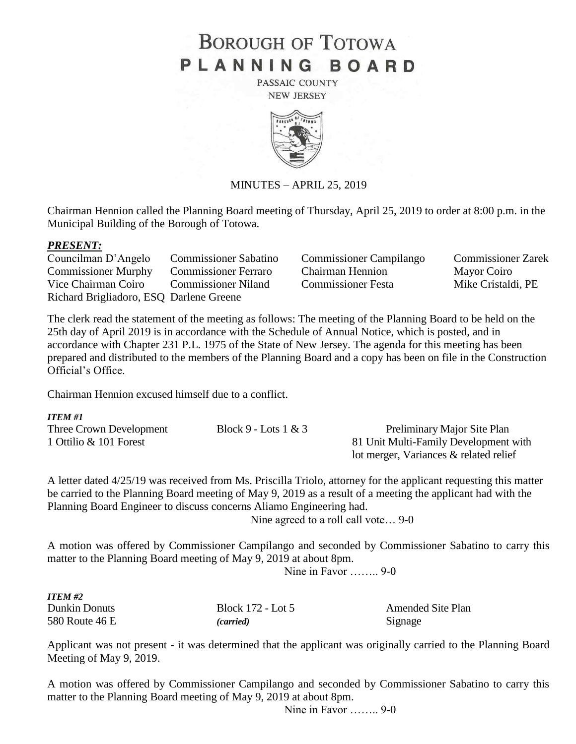# **BOROUGH OF TOTOWA** PLANNING BOARD

PASSAIC COUNTY **NEW JERSEY** 



#### MINUTES – APRIL 25, 2019

Chairman Hennion called the Planning Board meeting of Thursday, April 25, 2019 to order at 8:00 p.m. in the Municipal Building of the Borough of Totowa.

#### *PRESENT:*

*ITEM #1*

| Councilman D'Angelo                     | <b>Commissioner Sabatino</b> |
|-----------------------------------------|------------------------------|
| <b>Commissioner Murphy</b>              | <b>Commissioner Ferraro</b>  |
| Vice Chairman Coiro                     | <b>Commissioner Niland</b>   |
| Richard Brigliadoro, ESQ Darlene Greene |                              |

Commissioner Campilango Commissioner Zarek Chairman Hennion<br>
Mayor Coiro Commissioner Festa Mike Cristaldi, PE

The clerk read the statement of the meeting as follows: The meeting of the Planning Board to be held on the 25th day of April 2019 is in accordance with the Schedule of Annual Notice, which is posted, and in accordance with Chapter 231 P.L. 1975 of the State of New Jersey. The agenda for this meeting has been prepared and distributed to the members of the Planning Board and a copy has been on file in the Construction Official's Office.

Chairman Hennion excused himself due to a conflict.

| 11 LW TI                |                        |                                        |
|-------------------------|------------------------|----------------------------------------|
| Three Crown Development | Block 9 - Lots $1 & 3$ | Preliminary Major Site Plan            |
| 1 Ottilio & 101 Forest  |                        | 81 Unit Multi-Family Development with  |
|                         |                        | lot merger, Variances & related relief |

A letter dated 4/25/19 was received from Ms. Priscilla Triolo, attorney for the applicant requesting this matter be carried to the Planning Board meeting of May 9, 2019 as a result of a meeting the applicant had with the Planning Board Engineer to discuss concerns Aliamo Engineering had.

Nine agreed to a roll call vote… 9-0

A motion was offered by Commissioner Campilango and seconded by Commissioner Sabatino to carry this matter to the Planning Board meeting of May 9, 2019 at about 8pm.

Nine in Favor …….. 9-0

| ITEM #2        |                   |                          |
|----------------|-------------------|--------------------------|
| Dunkin Donuts  | Block 172 - Lot 5 | <b>Amended Site Plan</b> |
| 580 Route 46 E | <i>(carried)</i>  | Signage                  |

Applicant was not present - it was determined that the applicant was originally carried to the Planning Board Meeting of May 9, 2019.

A motion was offered by Commissioner Campilango and seconded by Commissioner Sabatino to carry this matter to the Planning Board meeting of May 9, 2019 at about 8pm.

Nine in Favor …….. 9-0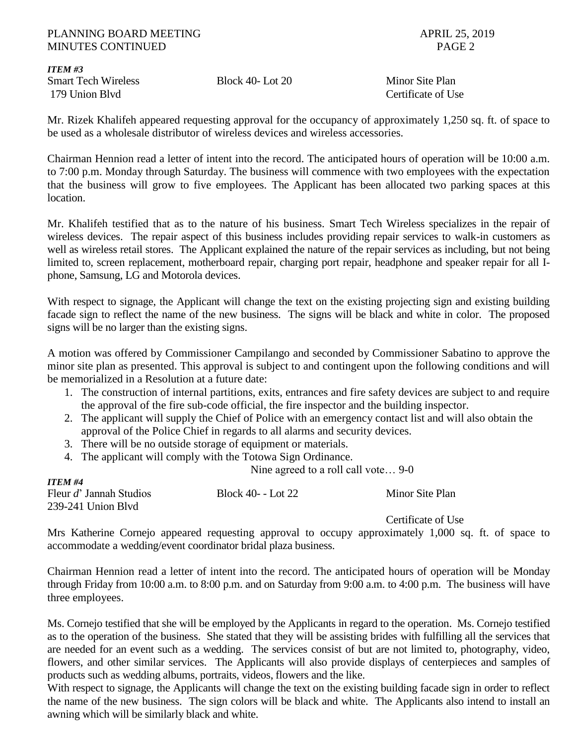#### PLANNING BOARD MEETING APRIL 25, 2019 MINUTES CONTINUED **PAGE 2**

*ITEM #3* Smart Tech Wireless Block 40- Lot 20 Minor Site Plan 179 Union Blvd Certificate of Use

*ITEM #4*

Mr. Rizek Khalifeh appeared requesting approval for the occupancy of approximately 1,250 sq. ft. of space to be used as a wholesale distributor of wireless devices and wireless accessories.

Chairman Hennion read a letter of intent into the record. The anticipated hours of operation will be 10:00 a.m. to 7:00 p.m. Monday through Saturday. The business will commence with two employees with the expectation that the business will grow to five employees. The Applicant has been allocated two parking spaces at this location.

Mr. Khalifeh testified that as to the nature of his business. Smart Tech Wireless specializes in the repair of wireless devices. The repair aspect of this business includes providing repair services to walk-in customers as well as wireless retail stores. The Applicant explained the nature of the repair services as including, but not being limited to, screen replacement, motherboard repair, charging port repair, headphone and speaker repair for all Iphone, Samsung, LG and Motorola devices.

With respect to signage, the Applicant will change the text on the existing projecting sign and existing building facade sign to reflect the name of the new business. The signs will be black and white in color. The proposed signs will be no larger than the existing signs.

A motion was offered by Commissioner Campilango and seconded by Commissioner Sabatino to approve the minor site plan as presented. This approval is subject to and contingent upon the following conditions and will be memorialized in a Resolution at a future date:

- 1. The construction of internal partitions, exits, entrances and fire safety devices are subject to and require the approval of the fire sub-code official, the fire inspector and the building inspector.
- 2. The applicant will supply the Chief of Police with an emergency contact list and will also obtain the approval of the Police Chief in regards to all alarms and security devices.
- 3. There will be no outside storage of equipment or materials.
- 4. The applicant will comply with the Totowa Sign Ordinance.

Nine agreed to a roll call vote… 9-0

| 11 C.W. #4              |                    |                 |
|-------------------------|--------------------|-----------------|
| Fleur d' Jannah Studios | Block 40 -- Lot 22 | Minor Site Plan |
| 239-241 Union Blvd      |                    |                 |
|                         |                    |                 |

Certificate of Use

Mrs Katherine Cornejo appeared requesting approval to occupy approximately 1,000 sq. ft. of space to accommodate a wedding/event coordinator bridal plaza business.

Chairman Hennion read a letter of intent into the record. The anticipated hours of operation will be Monday through Friday from 10:00 a.m. to 8:00 p.m. and on Saturday from 9:00 a.m. to 4:00 p.m. The business will have three employees.

Ms. Cornejo testified that she will be employed by the Applicants in regard to the operation. Ms. Cornejo testified as to the operation of the business. She stated that they will be assisting brides with fulfilling all the services that are needed for an event such as a wedding. The services consist of but are not limited to, photography, video, flowers, and other similar services. The Applicants will also provide displays of centerpieces and samples of products such as wedding albums, portraits, videos, flowers and the like.

With respect to signage, the Applicants will change the text on the existing building facade sign in order to reflect the name of the new business. The sign colors will be black and white. The Applicants also intend to install an awning which will be similarly black and white.